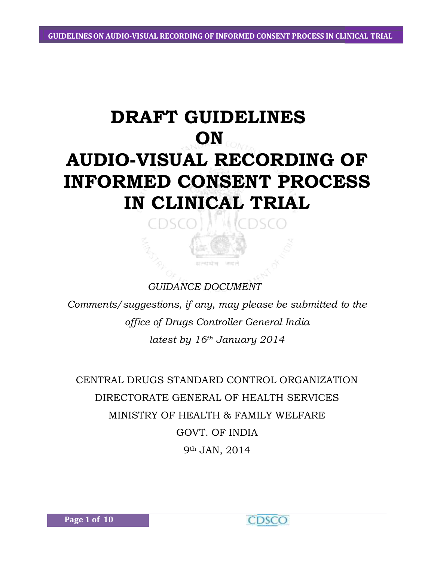# **DRAFT GUIDELINES ON AUDIO-VISUAL RECORDING OF INFORMED CONSENT PROCESS IN CLINICAL TRIAL**

DSC (

# *GUIDANCE DOCUMENT*

 $\Box$ 

*Comments/suggestions, if any, may please be submitted to the office of Drugs Controller General India latest by 16th January 2014*

CENTRAL DRUGS STANDARD CONTROL ORGANIZATION DIRECTORATE GENERAL OF HEALTH SERVICES MINISTRY OF HEALTH & FAMILY WELFARE GOVT. OF INDIA 9th JAN, 2014

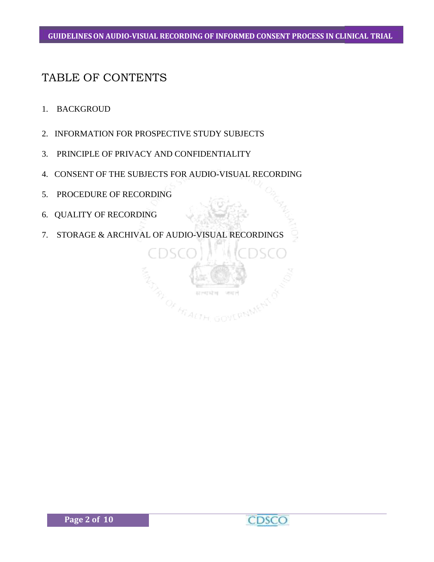#### **GUIDELINESON AUDIO-VISUAL RECORDING OF INFORMED CONSENT PROCESS IN CLINICAL TRIAL**

# TABLE OF CONTENTS

- 1. BACKGROUD
- 2. INFORMATION FOR PROSPECTIVE STUDY SUBJECTS
- 3. PRINCIPLE OF PRIVACY AND CONFIDENTIALITY
- 4. CONSENT OF THE SUBJECTS FOR AUDIO-VISUAL RECORDING
- 5. PROCEDURE OF RECORDING
- 6. QUALITY OF RECORDING
- 7. STORAGE & ARCHIVAL OF AUDIO-VISUAL RECORDINGS

**OF HEALTH** 

GOVERNMENT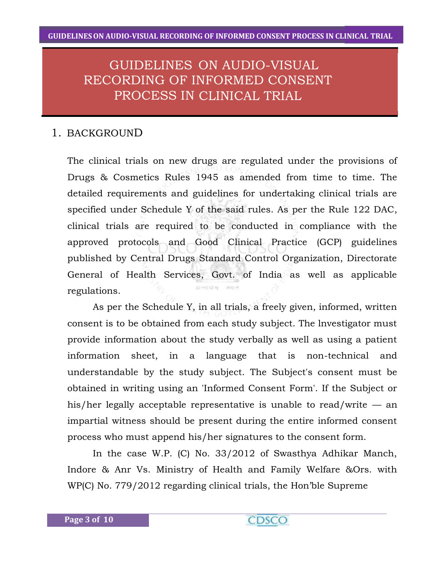# GUIDELINES ON AUDIO-VISUAL RECORDING OF INFORMED CONSENT PROCESS IN CLINICAL TRIAL

# 1. BACKGROUND

The clinical trials on new drugs are regulated under the provisions of Drugs & Cosmetics Rules 1945 as amended from time to time. The detailed requirements and guidelines for undertaking clinical trials are specified under Schedule Y of the said rules. As per the Rule 122 DAC, clinical trials are required to be conducted in compliance with the approved protocols and Good Clinical Practice (GCP) guidelines published by Central Drugs Standard Control Organization, Directorate General of Health Services, Govt. of India as well as applicable regulations.

As per the Schedule Y, in all trials, a freely given, informed, written consent is to be obtained from each study subject. The lnvestigator must provide information about the study verbally as well as using a patient information sheet, in a language that is non-technical and understandable by the study subject. The Subject's consent must be obtained in writing using an 'Informed Consent Form'. If the Subject or his/her legally acceptable representative is unable to read/write — an impartial witness should be present during the entire informed consent process who must append his/her signatures to the consent form.

In the case W.P. (C) No. 33/2012 of Swasthya Adhikar Manch, Indore & Anr Vs. Ministry of Health and Family Welfare &Ors. with WP(C) No. 779/2012 regarding clinical trials, the Hon'ble Supreme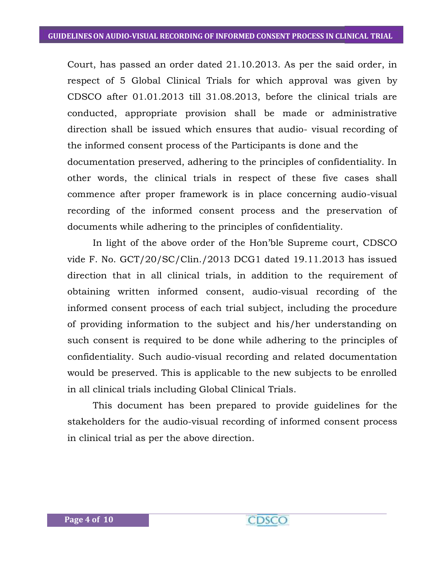Court, has passed an order dated 21.10.2013. As per the said order, in respect of 5 Global Clinical Trials for which approval was given by CDSCO after 01.01.2013 till 31.08.2013, before the clinical trials are conducted, appropriate provision shall be made or administrative direction shall be issued which ensures that audio- visual recording of the informed consent process of the Participants is done and the documentation preserved, adhering to the principles of confidentiality. In other words, the clinical trials in respect of these five cases shall commence after proper framework is in place concerning audio-visual recording of the informed consent process and the preservation of documents while adhering to the principles of confidentiality.

In light of the above order of the Hon'ble Supreme court, CDSCO vide F. No. GCT/20/SC/Clin./2013 DCG1 dated 19.11.2013 has issued direction that in all clinical trials, in addition to the requirement of obtaining written informed consent, audio-visual recording of the informed consent process of each trial subject, including the procedure of providing information to the subject and his/her understanding on such consent is required to be done while adhering to the principles of confidentiality. Such audio-visual recording and related documentation would be preserved. This is applicable to the new subjects to be enrolled in all clinical trials including Global Clinical Trials.

This document has been prepared to provide guidelines for the stakeholders for the audio-visual recording of informed consent process in clinical trial as per the above direction.

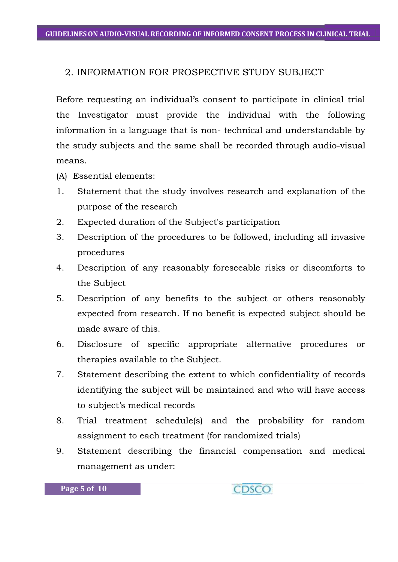## 2. INFORMATION FOR PROSPECTIVE STUDY SUBJECT

Before requesting an individual's consent to participate in clinical trial the Investigator must provide the individual with the following information in a language that is non- technical and understandable by the study subjects and the same shall be recorded through audio-visual means.

- (A) Essential elements:
- 1. Statement that the study involves research and explanation of the purpose of the research
- 2. Expected duration of the Subject's participation
- 3. Description of the procedures to be followed, including all invasive procedures
- 4. Description of any reasonably foreseeable risks or discomforts to the Subject
- 5. Description of any benefits to the subject or others reasonably expected from research. If no benefit is expected subject should be made aware of this.
- 6. Disclosure of specific appropriate alternative procedures or therapies available to the Subject.
- 7. Statement describing the extent to which confidentiality of records identifying the subject will be maintained and who will have access to subject's medical records
- 8. Trial treatment schedule(s) and the probability for random assignment to each treatment (for randomized trials)
- 9. Statement describing the financial compensation and medical management as under: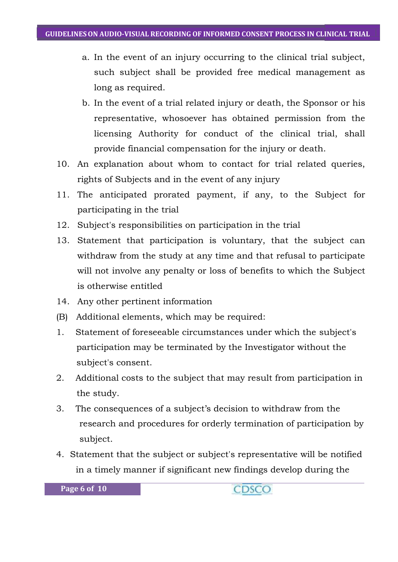- a. In the event of an injury occurring to the clinical trial subject, such subject shall be provided free medical management as long as required.
- b. In the event of a trial related injury or death, the Sponsor or his representative, whosoever has obtained permission from the licensing Authority for conduct of the clinical trial, shall provide financial compensation for the injury or death.
- 10. An explanation about whom to contact for trial related queries, rights of Subjects and in the event of any injury
- 11. The anticipated prorated payment, if any, to the Subject for participating in the trial
- 12. Subject's responsibilities on participation in the trial
- 13. Statement that participation is voluntary, that the subject can withdraw from the study at any time and that refusal to participate will not involve any penalty or loss of benefits to which the Subject is otherwise entitled
- 14. Any other pertinent information
- (B) Additional elements, which may be required:
- 1. Statement of foreseeable circumstances under which the subject's participation may be terminated by the Investigator without the subject's consent.
- 2. Additional costs to the subject that may result from participation in the study.
- 3. The consequences of a subject's decision to withdraw from the research and procedures for orderly termination of participation by subject.
- 4. Statement that the subject or subject's representative will be notified in a timely manner if significant new findings develop during the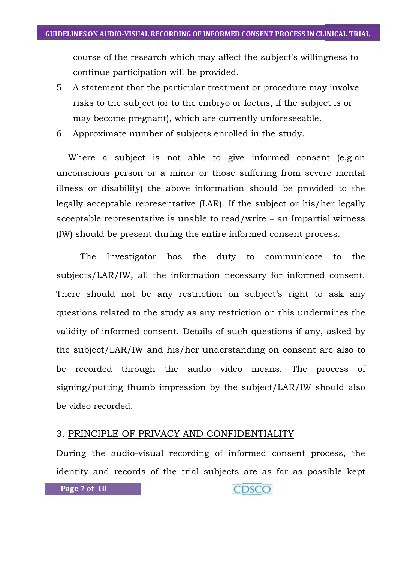course of the research which may affect the subject's willingness to continue participation will be provided.

- 5. A statement that the particular treatment or procedure may involve risks to the subject (or to the embryo or foetus, if the subject is or may become pregnant), which are currently unforeseeable.
- 6. Approximate number of subjects enrolled in the study.

Where a subject is not able to give informed consent (e.g.an unconscious person or a minor or those suffering from severe mental illness or disability) the above information should be provided to the legally acceptable representative (LAR). If the subject or his/her legally acceptable representative is unable to read/write – an Impartial witness (IW) should be present during the entire informed consent process.

The Investigator has the duty to communicate to the subjects/LAR/IW, all the information necessary for informed consent. There should not be any restriction on subject's right to ask any questions related to the study as any restriction on this undermines the validity of informed consent. Details of such questions if any, asked by the subject/LAR/IW and his/her understanding on consent are also to be recorded through the audio video means. The process of signing/putting thumb impression by the subject/LAR/IW should also be video recorded.

#### 3. PRINCIPLE OF PRIVACY AND CONFIDENTIALITY

During the audio-visual recording of informed consent process, the identity and records of the trial subjects are as far as possible kept

```
Page 7 of 10
```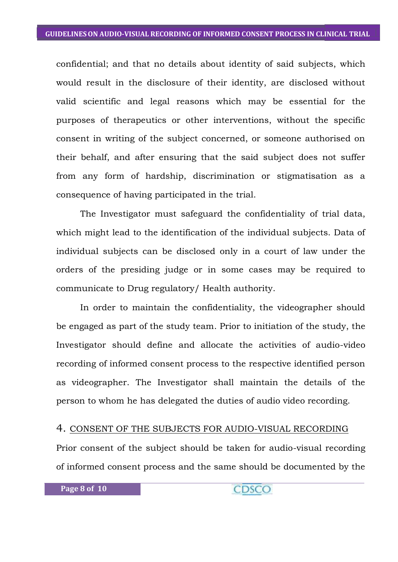confidential; and that no details about identity of said subjects, which would result in the disclosure of their identity, are disclosed without valid scientific and legal reasons which may be essential for the purposes of therapeutics or other interventions, without the specific consent in writing of the subject concerned, or someone authorised on their behalf, and after ensuring that the said subject does not suffer from any form of hardship, discrimination or stigmatisation as a consequence of having participated in the trial.

The Investigator must safeguard the confidentiality of trial data, which might lead to the identification of the individual subjects. Data of individual subjects can be disclosed only in a court of law under the orders of the presiding judge or in some cases may be required to communicate to Drug regulatory/ Health authority.

In order to maintain the confidentiality, the videographer should be engaged as part of the study team. Prior to initiation of the study, the Investigator should define and allocate the activities of audio-video recording of informed consent process to the respective identified person as videographer. The Investigator shall maintain the details of the person to whom he has delegated the duties of audio video recording.

#### 4. CONSENT OF THE SUBJECTS FOR AUDIO-VISUAL RECORDING

Prior consent of the subject should be taken for audio-visual recording of informed consent process and the same should be documented by the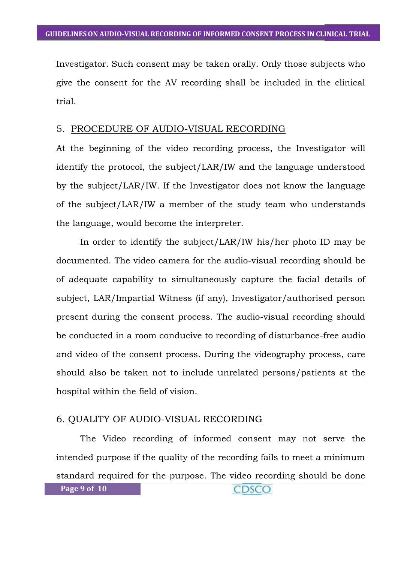Investigator. Such consent may be taken orally. Only those subjects who give the consent for the AV recording shall be included in the clinical trial.

#### 5. PROCEDURE OF AUDIO-VISUAL RECORDING

At the beginning of the video recording process, the Investigator will identify the protocol, the subject/LAR/IW and the language understood by the subject/LAR/IW. If the Investigator does not know the language of the subject/LAR/IW a member of the study team who understands the language, would become the interpreter.

In order to identify the subject/LAR/IW his/her photo ID may be documented. The video camera for the audio-visual recording should be of adequate capability to simultaneously capture the facial details of subject, LAR/Impartial Witness (if any), Investigator/authorised person present during the consent process. The audio-visual recording should be conducted in a room conducive to recording of disturbance-free audio and video of the consent process. During the videography process, care should also be taken not to include unrelated persons/patients at the hospital within the field of vision.

#### 6. QUALITY OF AUDIO-VISUAL RECORDING

The Video recording of informed consent may not serve the intended purpose if the quality of the recording fails to meet a minimum standard required for the purpose. The video recording should be done **Page 9 of 10** CDSCO